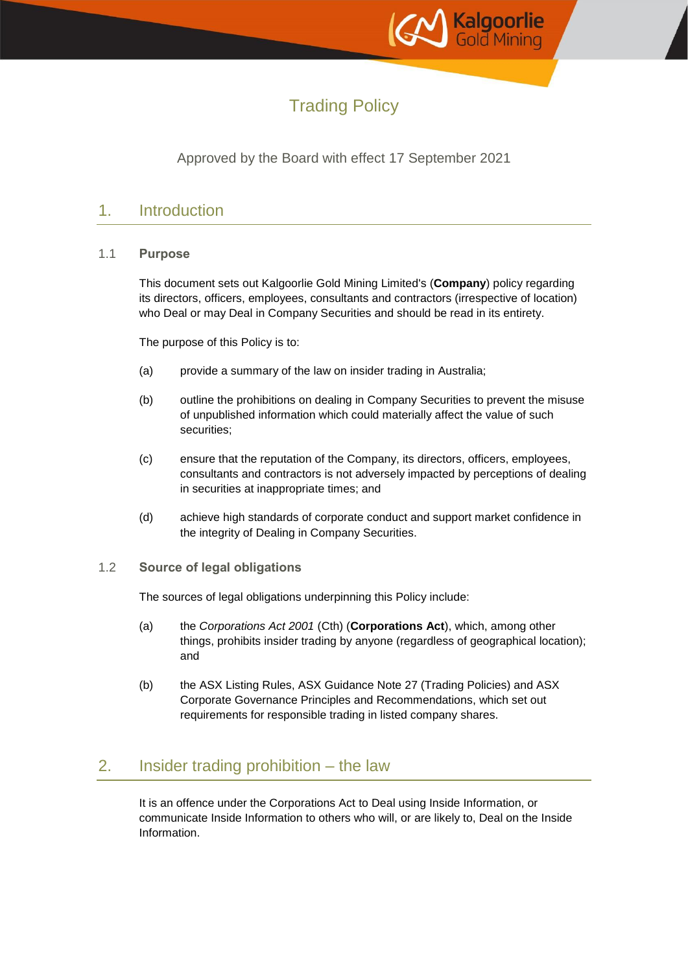

# Trading Policy

### Approved by the Board with effect 17 September 2021

### 1. Introduction

#### 1.1 **Purpose**

This document sets out Kalgoorlie Gold Mining Limited's (**Company**) policy regarding its directors, officers, employees, consultants and contractors (irrespective of location) who Deal or may Deal in Company Securities and should be read in its entirety.

The purpose of this Policy is to:

- (a) provide a summary of the law on insider trading in Australia;
- (b) outline the prohibitions on dealing in Company Securities to prevent the misuse of unpublished information which could materially affect the value of such securities;
- (c) ensure that the reputation of the Company, its directors, officers, employees, consultants and contractors is not adversely impacted by perceptions of dealing in securities at inappropriate times; and
- (d) achieve high standards of corporate conduct and support market confidence in the integrity of Dealing in Company Securities.
- 1.2 **Source of legal obligations**

The sources of legal obligations underpinning this Policy include:

- (a) the *Corporations Act 2001* (Cth) (**Corporations Act**), which, among other things, prohibits insider trading by anyone (regardless of geographical location); and
- (b) the ASX Listing Rules, ASX Guidance Note 27 (Trading Policies) and ASX Corporate Governance Principles and Recommendations, which set out requirements for responsible trading in listed company shares.

### 2. Insider trading prohibition – the law

It is an offence under the Corporations Act to Deal using Inside Information, or communicate Inside Information to others who will, or are likely to, Deal on the Inside Information.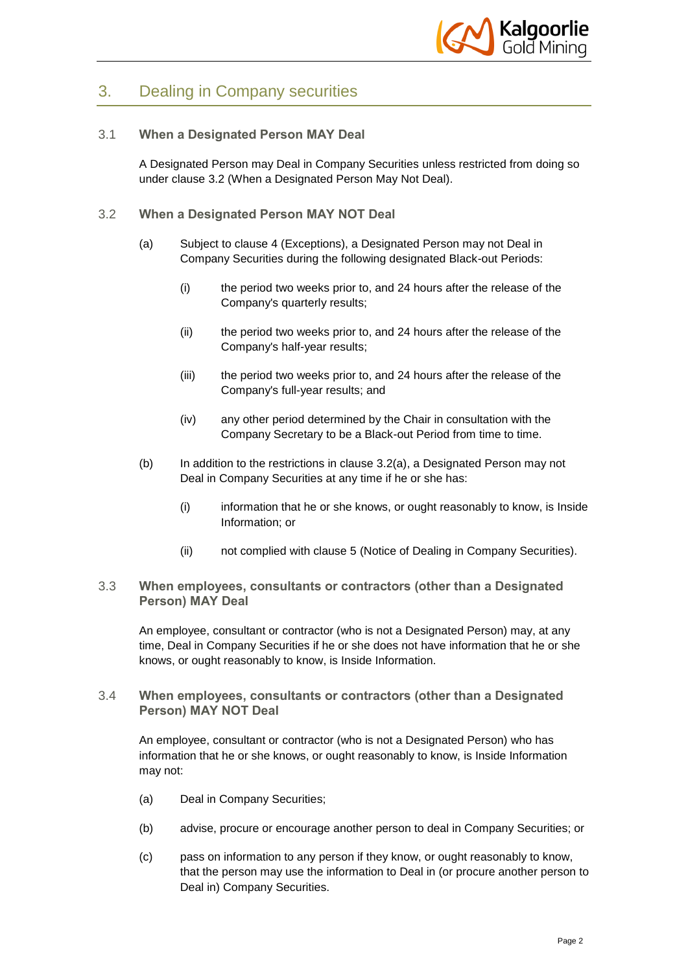

## 3. Dealing in Company securities

#### 3.1 **When a Designated Person MAY Deal**

A Designated Person may Deal in Company Securities unless restricted from doing so under clause [3.2](#page-1-0) (When a Designated Person May Not Deal).

- <span id="page-1-1"></span><span id="page-1-0"></span>3.2 **When a Designated Person MAY NOT Deal**
	- (a) Subject to clause [4](#page-2-0) (Exceptions), a Designated Person may not Deal in Company Securities during the following designated Black-out Periods:
		- (i) the period two weeks prior to, and 24 hours after the release of the Company's quarterly results;
		- (ii) the period two weeks prior to, and 24 hours after the release of the Company's half-year results;
		- (iii) the period two weeks prior to, and 24 hours after the release of the Company's full-year results; and
		- (iv) any other period determined by the Chair in consultation with the Company Secretary to be a Black-out Period from time to time.
	- (b) In addition to the restrictions in clause [3.2\(a\),](#page-1-1) a Designated Person may not Deal in Company Securities at any time if he or she has:
		- (i) information that he or she knows, or ought reasonably to know, is Inside Information; or
		- (ii) not complied with clause [5](#page-4-0) (Notice of Dealing in Company Securities).

#### 3.3 **When employees, consultants or contractors (other than a Designated Person) MAY Deal**

An employee, consultant or contractor (who is not a Designated Person) may, at any time, Deal in Company Securities if he or she does not have information that he or she knows, or ought reasonably to know, is Inside Information.

#### 3.4 **When employees, consultants or contractors (other than a Designated Person) MAY NOT Deal**

An employee, consultant or contractor (who is not a Designated Person) who has information that he or she knows, or ought reasonably to know, is Inside Information may not:

- (a) Deal in Company Securities;
- (b) advise, procure or encourage another person to deal in Company Securities; or
- (c) pass on information to any person if they know, or ought reasonably to know, that the person may use the information to Deal in (or procure another person to Deal in) Company Securities.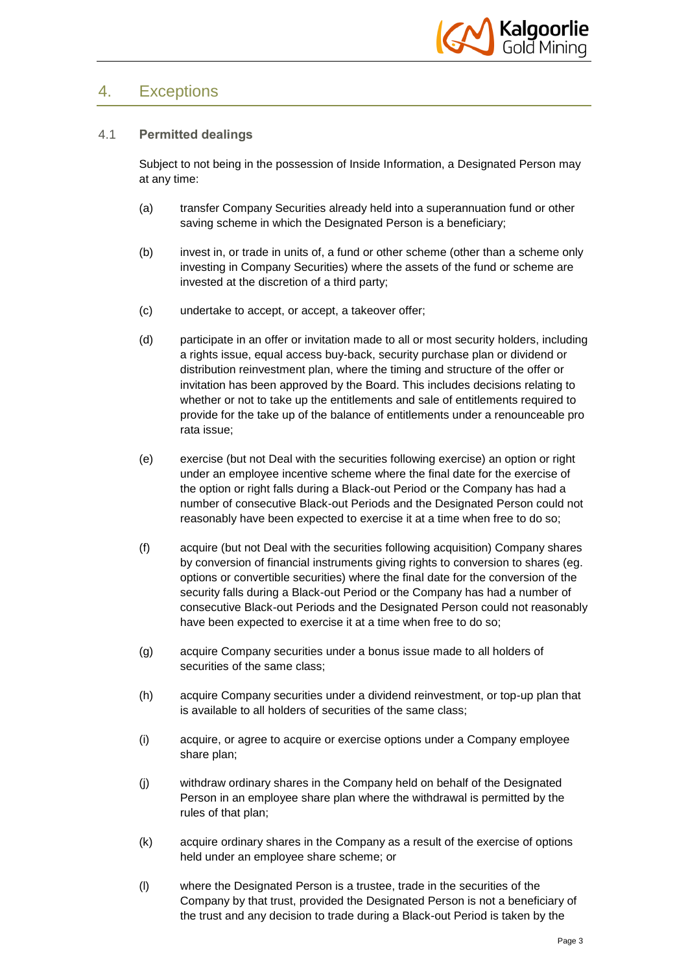

### <span id="page-2-0"></span>4. Exceptions

#### 4.1 **Permitted dealings**

Subject to not being in the possession of Inside Information, a Designated Person may at any time:

- (a) transfer Company Securities already held into a superannuation fund or other saving scheme in which the Designated Person is a beneficiary;
- (b) invest in, or trade in units of, a fund or other scheme (other than a scheme only investing in Company Securities) where the assets of the fund or scheme are invested at the discretion of a third party;
- (c) undertake to accept, or accept, a takeover offer;
- (d) participate in an offer or invitation made to all or most security holders, including a rights issue, equal access buy-back, security purchase plan or dividend or distribution reinvestment plan, where the timing and structure of the offer or invitation has been approved by the Board. This includes decisions relating to whether or not to take up the entitlements and sale of entitlements required to provide for the take up of the balance of entitlements under a renounceable pro rata issue;
- (e) exercise (but not Deal with the securities following exercise) an option or right under an employee incentive scheme where the final date for the exercise of the option or right falls during a Black-out Period or the Company has had a number of consecutive Black-out Periods and the Designated Person could not reasonably have been expected to exercise it at a time when free to do so;
- (f) acquire (but not Deal with the securities following acquisition) Company shares by conversion of financial instruments giving rights to conversion to shares (eg. options or convertible securities) where the final date for the conversion of the security falls during a Black-out Period or the Company has had a number of consecutive Black-out Periods and the Designated Person could not reasonably have been expected to exercise it at a time when free to do so;
- (g) acquire Company securities under a bonus issue made to all holders of securities of the same class;
- (h) acquire Company securities under a dividend reinvestment, or top-up plan that is available to all holders of securities of the same class;
- (i) acquire, or agree to acquire or exercise options under a Company employee share plan;
- (j) withdraw ordinary shares in the Company held on behalf of the Designated Person in an employee share plan where the withdrawal is permitted by the rules of that plan;
- (k) acquire ordinary shares in the Company as a result of the exercise of options held under an employee share scheme; or
- (l) where the Designated Person is a trustee, trade in the securities of the Company by that trust, provided the Designated Person is not a beneficiary of the trust and any decision to trade during a Black-out Period is taken by the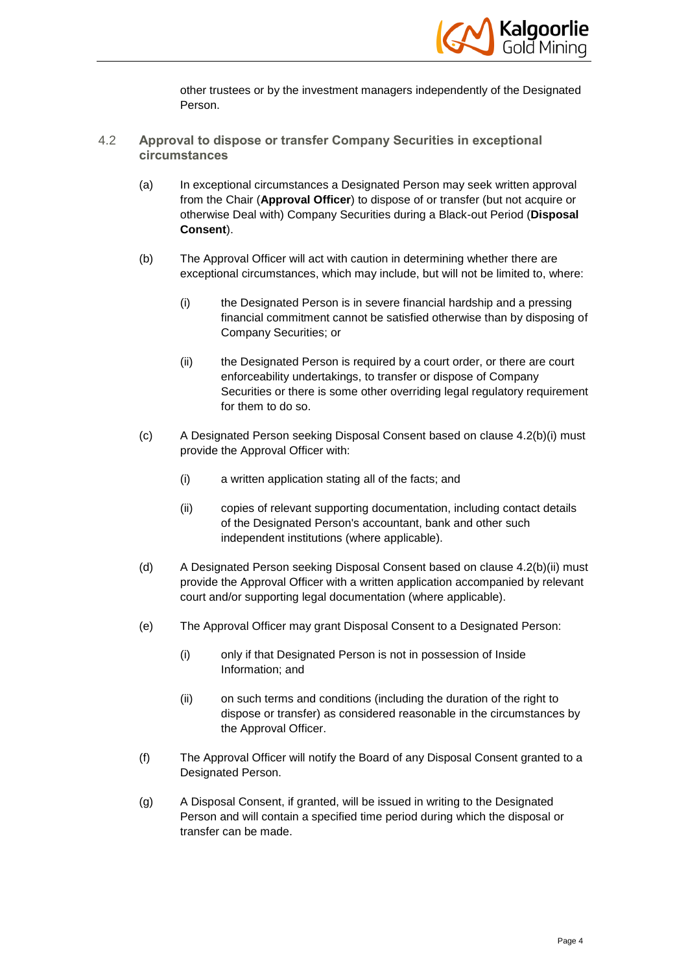

other trustees or by the investment managers independently of the Designated Person.

- <span id="page-3-1"></span><span id="page-3-0"></span>4.2 **Approval to dispose or transfer Company Securities in exceptional circumstances**
	- (a) In exceptional circumstances a Designated Person may seek written approval from the Chair (**Approval Officer**) to dispose of or transfer (but not acquire or otherwise Deal with) Company Securities during a Black-out Period (**Disposal Consent**).
	- (b) The Approval Officer will act with caution in determining whether there are exceptional circumstances, which may include, but will not be limited to, where:
		- (i) the Designated Person is in severe financial hardship and a pressing financial commitment cannot be satisfied otherwise than by disposing of Company Securities; or
		- (ii) the Designated Person is required by a court order, or there are court enforceability undertakings, to transfer or dispose of Company Securities or there is some other overriding legal regulatory requirement for them to do so.
	- (c) A Designated Person seeking Disposal Consent based on clause [4.2\(b\)\(i\)](#page-3-0) must provide the Approval Officer with:
		- (i) a written application stating all of the facts; and
		- (ii) copies of relevant supporting documentation, including contact details of the Designated Person's accountant, bank and other such independent institutions (where applicable).
	- (d) A Designated Person seeking Disposal Consent based on clause [4.2\(b\)\(ii\)](#page-3-1) must provide the Approval Officer with a written application accompanied by relevant court and/or supporting legal documentation (where applicable).
	- (e) The Approval Officer may grant Disposal Consent to a Designated Person:
		- (i) only if that Designated Person is not in possession of Inside Information; and
		- (ii) on such terms and conditions (including the duration of the right to dispose or transfer) as considered reasonable in the circumstances by the Approval Officer.
	- (f) The Approval Officer will notify the Board of any Disposal Consent granted to a Designated Person.
	- (g) A Disposal Consent, if granted, will be issued in writing to the Designated Person and will contain a specified time period during which the disposal or transfer can be made.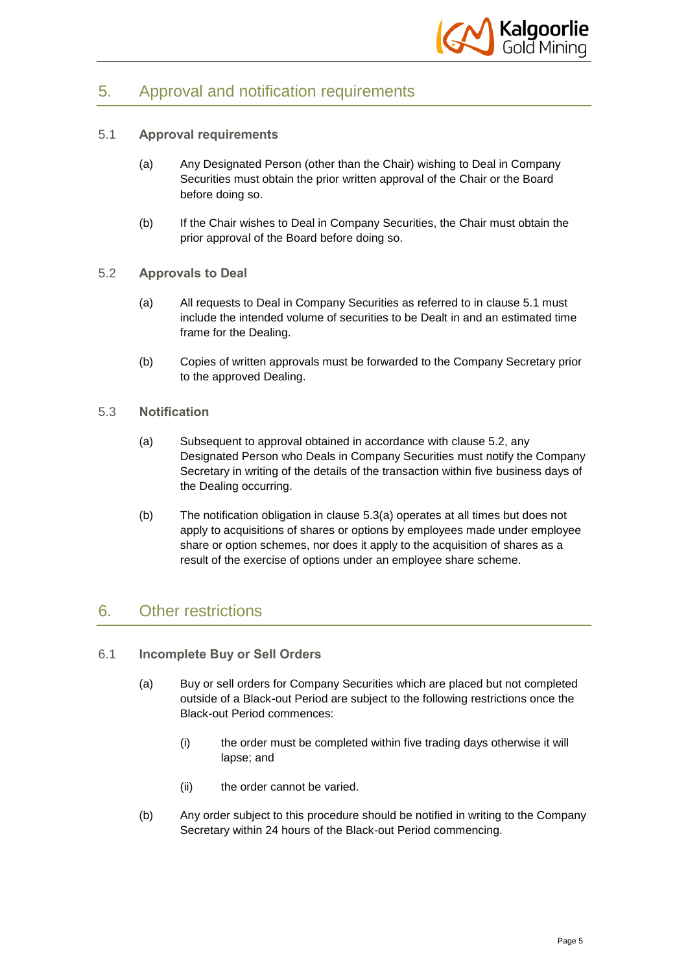

## <span id="page-4-0"></span>5. Approval and notification requirements

#### <span id="page-4-1"></span>5.1 **Approval requirements**

- (a) Any Designated Person (other than the Chair) wishing to Deal in Company Securities must obtain the prior written approval of the Chair or the Board before doing so.
- (b) If the Chair wishes to Deal in Company Securities, the Chair must obtain the prior approval of the Board before doing so.
- <span id="page-4-2"></span>5.2 **Approvals to Deal**
	- (a) All requests to Deal in Company Securities as referred to in clause [5.1](#page-4-1) must include the intended volume of securities to be Dealt in and an estimated time frame for the Dealing.
	- (b) Copies of written approvals must be forwarded to the Company Secretary prior to the approved Dealing.
- <span id="page-4-3"></span>5.3 **Notification**
	- (a) Subsequent to approval obtained in accordance with clause [5.2,](#page-4-2) any Designated Person who Deals in Company Securities must notify the Company Secretary in writing of the details of the transaction within five business days of the Dealing occurring.
	- (b) The notification obligation in clause [5.3\(a\)](#page-4-3) operates at all times but does not apply to acquisitions of shares or options by employees made under employee share or option schemes, nor does it apply to the acquisition of shares as a result of the exercise of options under an employee share scheme.

### 6. Other restrictions

- 6.1 **Incomplete Buy or Sell Orders**
	- (a) Buy or sell orders for Company Securities which are placed but not completed outside of a Black-out Period are subject to the following restrictions once the Black-out Period commences:
		- (i) the order must be completed within five trading days otherwise it will lapse; and
		- (ii) the order cannot be varied.
	- (b) Any order subject to this procedure should be notified in writing to the Company Secretary within 24 hours of the Black-out Period commencing.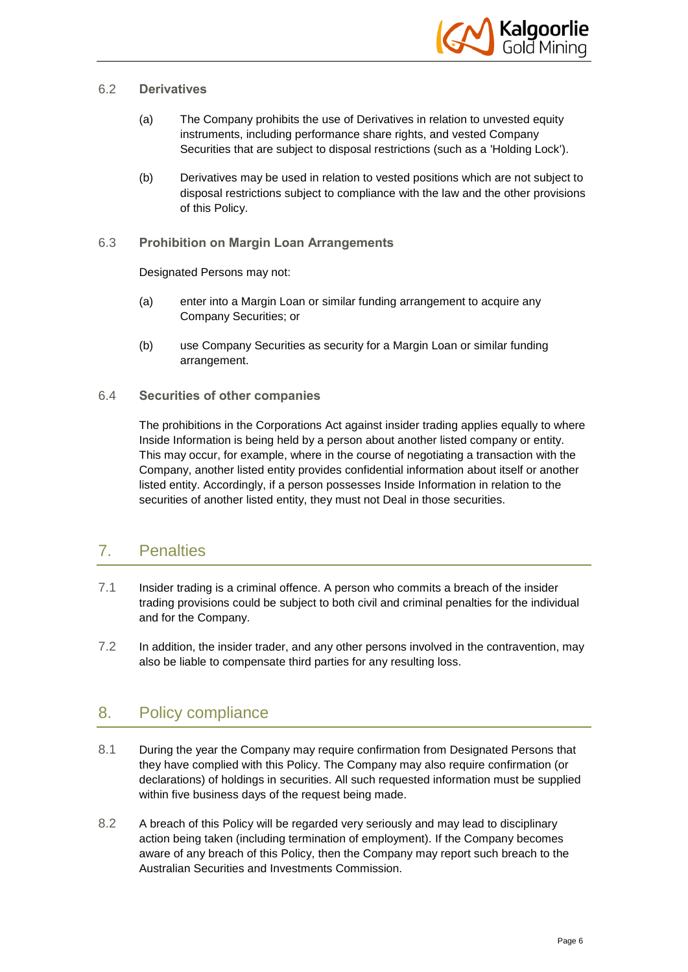

#### 6.2 **Derivatives**

- (a) The Company prohibits the use of Derivatives in relation to unvested equity instruments, including performance share rights, and vested Company Securities that are subject to disposal restrictions (such as a 'Holding Lock').
- (b) Derivatives may be used in relation to vested positions which are not subject to disposal restrictions subject to compliance with the law and the other provisions of this Policy.

#### 6.3 **Prohibition on Margin Loan Arrangements**

Designated Persons may not:

- (a) enter into a Margin Loan or similar funding arrangement to acquire any Company Securities; or
- (b) use Company Securities as security for a Margin Loan or similar funding arrangement.
- 6.4 **Securities of other companies**

The prohibitions in the Corporations Act against insider trading applies equally to where Inside Information is being held by a person about another listed company or entity. This may occur, for example, where in the course of negotiating a transaction with the Company, another listed entity provides confidential information about itself or another listed entity. Accordingly, if a person possesses Inside Information in relation to the securities of another listed entity, they must not Deal in those securities.

## 7. Penalties

- 7.1 Insider trading is a criminal offence. A person who commits a breach of the insider trading provisions could be subject to both civil and criminal penalties for the individual and for the Company.
- 7.2 In addition, the insider trader, and any other persons involved in the contravention, may also be liable to compensate third parties for any resulting loss.

## 8. Policy compliance

- 8.1 During the year the Company may require confirmation from Designated Persons that they have complied with this Policy. The Company may also require confirmation (or declarations) of holdings in securities. All such requested information must be supplied within five business days of the request being made.
- 8.2 A breach of this Policy will be regarded very seriously and may lead to disciplinary action being taken (including termination of employment). If the Company becomes aware of any breach of this Policy, then the Company may report such breach to the Australian Securities and Investments Commission.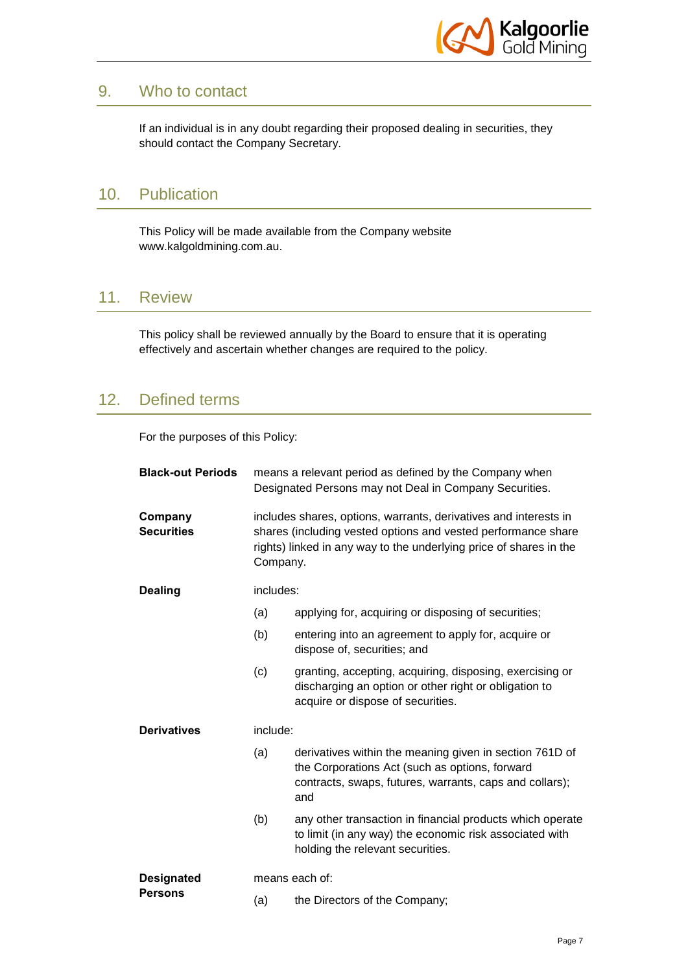

### 9. Who to contact

If an individual is in any doubt regarding their proposed dealing in securities, they should contact the Company Secretary.

## 10. Publication

This Policy will be made available from the Company website www.kalgoldmining.com.au.

### 11. Review

This policy shall be reviewed annually by the Board to ensure that it is operating effectively and ascertain whether changes are required to the policy.

## 12. Defined terms

For the purposes of this Policy:

| <b>Black-out Periods</b>            | means a relevant period as defined by the Company when<br>Designated Persons may not Deal in Company Securities.                                                                                                    |                                                                                                                                                                             |
|-------------------------------------|---------------------------------------------------------------------------------------------------------------------------------------------------------------------------------------------------------------------|-----------------------------------------------------------------------------------------------------------------------------------------------------------------------------|
| Company<br><b>Securities</b>        | includes shares, options, warrants, derivatives and interests in<br>shares (including vested options and vested performance share<br>rights) linked in any way to the underlying price of shares in the<br>Company. |                                                                                                                                                                             |
| <b>Dealing</b>                      | includes:                                                                                                                                                                                                           |                                                                                                                                                                             |
|                                     | (a)                                                                                                                                                                                                                 | applying for, acquiring or disposing of securities;                                                                                                                         |
|                                     | (b)                                                                                                                                                                                                                 | entering into an agreement to apply for, acquire or<br>dispose of, securities; and                                                                                          |
|                                     | (c)                                                                                                                                                                                                                 | granting, accepting, acquiring, disposing, exercising or<br>discharging an option or other right or obligation to<br>acquire or dispose of securities.                      |
| <b>Derivatives</b>                  | include:                                                                                                                                                                                                            |                                                                                                                                                                             |
|                                     | (a)                                                                                                                                                                                                                 | derivatives within the meaning given in section 761D of<br>the Corporations Act (such as options, forward<br>contracts, swaps, futures, warrants, caps and collars);<br>and |
|                                     | (b)                                                                                                                                                                                                                 | any other transaction in financial products which operate<br>to limit (in any way) the economic risk associated with<br>holding the relevant securities.                    |
| <b>Designated</b><br><b>Persons</b> | means each of:                                                                                                                                                                                                      |                                                                                                                                                                             |
|                                     | (a)                                                                                                                                                                                                                 | the Directors of the Company;                                                                                                                                               |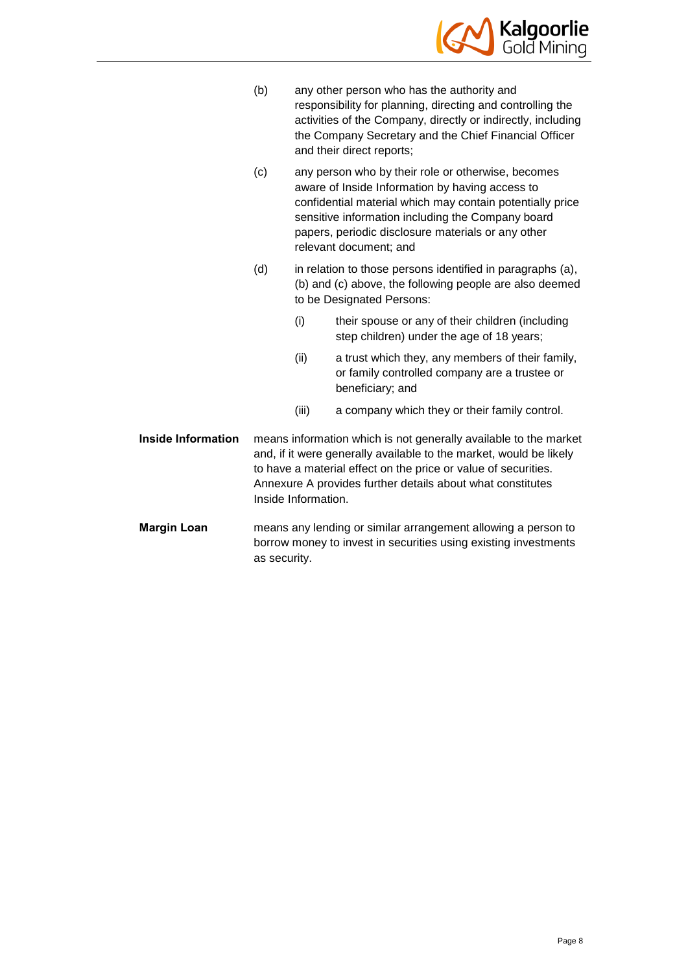

- (b) any other person who has the authority and responsibility for planning, directing and controlling the activities of the Company, directly or indirectly, including the Company Secretary and the Chief Financial Officer and their direct reports;
- (c) any person who by their role or otherwise, becomes aware of Inside Information by having access to confidential material which may contain potentially price sensitive information including the Company board papers, periodic disclosure materials or any other relevant document; and
- (d) in relation to those persons identified in paragraphs (a), (b) and (c) above, the following people are also deemed to be Designated Persons:
	- (i) their spouse or any of their children (including step children) under the age of 18 years;
	- (ii) a trust which they, any members of their family, or family controlled company are a trustee or beneficiary; and
	- (iii) a company which they or their family control.
- **Inside Information** means information which is not generally available to the market and, if it were generally available to the market, would be likely to have a material effect on the price or value of securities. [Annexure A](#page-8-0) provides further details about what constitutes Inside Information.
- **Margin Loan** means any lending or similar arrangement allowing a person to borrow money to invest in securities using existing investments as security.